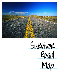

Survivor Road Map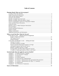# **Table of Contents**

| Planning Ahead: What can I do to prepare?                                   |  |
|-----------------------------------------------------------------------------|--|
|                                                                             |  |
|                                                                             |  |
|                                                                             |  |
|                                                                             |  |
|                                                                             |  |
|                                                                             |  |
|                                                                             |  |
|                                                                             |  |
|                                                                             |  |
|                                                                             |  |
|                                                                             |  |
|                                                                             |  |
|                                                                             |  |
|                                                                             |  |
|                                                                             |  |
| When a Loved One Dies: What do I do next?                                   |  |
| In the Days to come  Making Funeral Arrangements                            |  |
|                                                                             |  |
|                                                                             |  |
|                                                                             |  |
| In the Weeks and Months to come  Settling the Estate                        |  |
|                                                                             |  |
|                                                                             |  |
|                                                                             |  |
|                                                                             |  |
|                                                                             |  |
|                                                                             |  |
|                                                                             |  |
|                                                                             |  |
| <b>Survival Guide: How do I apply for survivor benefits?</b>                |  |
|                                                                             |  |
|                                                                             |  |
|                                                                             |  |
|                                                                             |  |
|                                                                             |  |
| Template 6 - To Veterans' Administration (for government life insurance) 41 |  |
|                                                                             |  |
|                                                                             |  |
|                                                                             |  |
|                                                                             |  |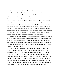You spent your entire senior year of high school planning your move out of your parent's house and off to your dream college. You spent endless hours talking to advisors and career counselors planning your career. You spent countless coffee dates with your mom planning the perfect wedding day. You spend weeks and months planning your family reunions and vacations. It is natural to want to plan for the fun and exciting times in life, but have you prepared for the unpleasant times as well? Have you planned for the time when you will no longer be around?

Like many others, you and your family may never have discussed the numerous issues surrounding the death of a loved one. Do you have a final will and testament drawn up? Have you discussed options such as assisted living, nursing homes and final illness hospitalization? Have you talked about funeral arrangements and preferences? Do you know where all important financial information and accounts are located? Have you discussed how the family's heir looms, possessions and wealth will be distributed? Do you have a financial plan set in place for the increased expense and decreased income that accompany the death of a spouse?

Such issues rarely come up naturally in day-to-day conversations. This booklet is created for just that purpose. Use it as a starting point for family discussions. So invite the family over for a leisurely Sunday afternoon barbecue. Or send out handwritten invitations and make it a more formal occasion. Whatever your family's style is, set aside some time for a productive and positive conversation about the future. Once you have everyone together, bring out this booklet, and starting planning for the future.

The first section of this booklet, *Planning Ahead*, will help you organize all your important documents and account information so that others can easily take over in your absence. The second section, *When a Loved One Dies*, is designed to walk you through the important issues and facilitate family discussion. The final section, *Survival Guide*, includes a number of template letters that will be helpful in requesting survivor benefits after the death of a loved one. Though this booklet will be a great asset, qualified financial and legal advisors can offer advice regarding your family's unique situation as well as specific state laws regarding burial, taxation, and insurance. Like an extended family member, a trusted financial advisor can offer experience and support while you navigate through the challenging decisions ahead.

- 2 -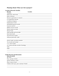# Planning Ahead: What can I do to prepare?

# **Location of Records Checklist Records**

| <b>Records</b>            | <b>Location</b>                                                                                                                                   |
|---------------------------|---------------------------------------------------------------------------------------------------------------------------------------------------|
| Annuities                 |                                                                                                                                                   |
|                           |                                                                                                                                                   |
|                           |                                                                                                                                                   |
|                           |                                                                                                                                                   |
|                           |                                                                                                                                                   |
|                           |                                                                                                                                                   |
| Employment records        |                                                                                                                                                   |
|                           |                                                                                                                                                   |
|                           |                                                                                                                                                   |
|                           |                                                                                                                                                   |
|                           |                                                                                                                                                   |
|                           |                                                                                                                                                   |
|                           |                                                                                                                                                   |
|                           |                                                                                                                                                   |
|                           | Social Security number<br><u>Leading</u> Social Security number<br><u>Leading</u> Social Security number<br><u>Leading</u> Social Security number |
| Software passwords, codes |                                                                                                                                                   |
|                           |                                                                                                                                                   |
|                           | Stocks, bonds, securities portfolio                                                                                                               |
|                           |                                                                                                                                                   |
|                           |                                                                                                                                                   |
|                           |                                                                                                                                                   |
|                           |                                                                                                                                                   |
|                           |                                                                                                                                                   |
|                           |                                                                                                                                                   |

# **Family Records and Information**

| <b>About the family</b>                       |
|-----------------------------------------------|
|                                               |
|                                               |
| Spouse's/Partner's name                       |
|                                               |
| Children (full name, place and date of birth) |
|                                               |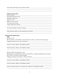Other family (full name, place and date of birth) \_\_\_\_\_\_\_\_\_\_\_\_\_\_\_\_\_\_\_\_\_\_\_\_\_\_\_\_\_\_\_\_\_\_\_\_\_\_\_

| <b>Family records location</b>                                                                                                                                                                                                                                                                                     |
|--------------------------------------------------------------------------------------------------------------------------------------------------------------------------------------------------------------------------------------------------------------------------------------------------------------------|
|                                                                                                                                                                                                                                                                                                                    |
|                                                                                                                                                                                                                                                                                                                    |
|                                                                                                                                                                                                                                                                                                                    |
|                                                                                                                                                                                                                                                                                                                    |
|                                                                                                                                                                                                                                                                                                                    |
|                                                                                                                                                                                                                                                                                                                    |
|                                                                                                                                                                                                                                                                                                                    |
|                                                                                                                                                                                                                                                                                                                    |
| <b>Wills and Safe Deposit Boxes</b><br>Wills<br>$\Box$ I have a will.<br>$\Box$ I do not have a will. (NOTE: if you do not have a will, it is crucial to create one now!)                                                                                                                                          |
| the control of the control of the control of the control of the control of the control of the control of the control of the control of the control of the control of the control of the control of the control of the control<br>Executor's name, address, and telephone number __________________________________ |
|                                                                                                                                                                                                                                                                                                                    |
| $\Box$ Every adult in my family has a will.<br>$\Box$ Someone in my family does not have a will. (NOTE: if a family member does not currently<br>have a will, it is crucial to create one now!)                                                                                                                    |
|                                                                                                                                                                                                                                                                                                                    |
|                                                                                                                                                                                                                                                                                                                    |

\_\_\_\_\_\_\_\_\_\_\_\_\_\_\_\_\_\_\_\_\_\_\_\_\_\_\_\_\_\_\_\_\_\_\_\_\_\_\_\_\_\_\_\_\_\_\_\_\_\_\_\_\_\_\_\_\_\_\_\_\_\_\_\_\_\_\_\_\_\_\_\_\_\_\_\_\_\_

\_\_\_\_\_\_\_\_\_\_\_\_\_\_\_\_\_\_\_\_\_\_\_\_\_\_\_\_\_\_\_\_\_\_\_\_\_\_\_\_\_\_\_\_\_\_\_\_\_\_\_\_\_\_\_\_\_\_\_\_\_\_\_\_\_\_\_\_\_\_\_\_\_\_\_\_\_\_

Name of financial advisors, accountants, their addresses and telephone number \_\_\_\_\_\_\_\_\_\_\_\_\_\_\_\_\_\_\_\_\_\_\_\_\_\_\_\_\_\_\_\_

\_\_\_\_\_\_\_\_\_\_\_\_\_\_\_\_\_\_\_\_\_\_\_\_\_\_\_\_\_\_\_\_\_\_\_\_\_\_\_\_\_\_\_\_\_\_\_\_\_\_\_\_\_\_\_\_\_\_\_\_\_\_\_\_\_\_\_\_\_\_\_\_\_\_\_\_\_\_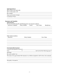| Safe deposit boxes                                                                                                         |                      |                                                                                  |
|----------------------------------------------------------------------------------------------------------------------------|----------------------|----------------------------------------------------------------------------------|
| $\Box$ It is held in my name only                                                                                          |                      |                                                                                  |
|                                                                                                                            |                      |                                                                                  |
| Box number                                                                                                                 |                      |                                                                                  |
|                                                                                                                            |                      |                                                                                  |
|                                                                                                                            |                      |                                                                                  |
| <b>Insurance and Annuities</b>                                                                                             |                      |                                                                                  |
| Life Insurance                                                                                                             |                      |                                                                                  |
| We have the following life and life/long-term care insurance policies:<br>Insurance Company Policy Number Owner Face Value |                      | <i>Beneficiary</i>                                                               |
|                                                                                                                            |                      |                                                                                  |
|                                                                                                                            |                      |                                                                                  |
|                                                                                                                            |                      |                                                                                  |
| Other family members:<br><b>Insurance</b>                                                                                  | <b>Policy Number</b> | Face Value                                                                       |
|                                                                                                                            |                      |                                                                                  |
|                                                                                                                            |                      |                                                                                  |
|                                                                                                                            |                      |                                                                                  |
| Government life insurance<br>I served in the (branch of service)                                                           |                      |                                                                                  |
|                                                                                                                            |                      |                                                                                  |
|                                                                                                                            |                      |                                                                                  |
|                                                                                                                            |                      |                                                                                  |
| The status of my government life insurance is as follows (expired or still in force; face amount):                         |                      |                                                                                  |
| ,我们也不会有什么。""我们的人,我们也不会有什么?""我们的人,我们也不会有什么?""我们的人,我们也不会有什么?""我们的人,我们也不会有什么?""我们的人                                           |                      | ,我们也不会有什么。""我们的人,我们也不会有什么?""我们的人,我们也不会有什么?""我们的人,我们也不会有什么?""我们的人,我们也不会有什么?""我们的人 |
|                                                                                                                            |                      |                                                                                  |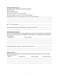#### *Other government sources*

My family will be eligible for the following benefits:

□ Civil Service

□ Railroad Retirement

□ Veteran's non-service-connected death

□ Active military or veteran's service-connected death

Benefits because of my employment by state or local government\_\_\_\_\_\_\_\_\_\_\_\_\_\_\_\_\_\_\_\_\_\_\_

My V.A. claim number is  $\frac{1}{\sqrt{1-\frac{1}{2}}\sqrt{1-\frac{1}{2}}\left\{1-\frac{1}{2}\left[\frac{1}{2}(\frac{1}{2}-\frac{1}{2})\left(\frac{1}{2}-\frac{1}{2}\right)\left(\frac{1}{2}-\frac{1}{2}\right)\left(\frac{1}{2}-\frac{1}{2}\right)\left(\frac{1}{2}-\frac{1}{2}\right)\left(\frac{1}{2}-\frac{1}{2}\right)\left(\frac{1}{2}-\frac{1}{2}\right)\left(\frac{1}{2}-\frac{1}{2}\right)\left(\frac{1}{2}-\frac{1}{2}\$ 

Records and documents needed to apply for benefits are located at \_\_\_\_\_\_\_\_\_\_\_\_\_\_\_\_\_\_\_\_\_

# *Membership organizations*

Because of my membership in various organizations (union, trade associations, fraternal benefit society, etc.) my survivors may be eligible for certain benefits. The organizations and benefits are as follows:

\_\_\_\_\_\_\_\_\_\_\_\_\_\_\_\_\_\_\_\_\_\_\_\_\_\_\_\_\_\_\_\_\_\_\_\_\_\_\_\_\_\_\_\_\_\_\_\_\_\_\_\_\_\_\_\_\_\_\_\_\_\_\_\_\_\_\_\_\_\_\_\_\_\_\_\_\_\_

\_\_\_\_\_\_\_\_\_\_\_\_\_\_\_\_\_\_\_\_\_\_\_\_\_\_\_\_\_\_\_\_\_\_\_\_\_\_\_\_\_\_\_\_\_\_\_\_\_\_\_\_\_\_\_\_\_\_\_\_\_\_\_\_\_\_\_\_\_\_\_\_\_\_\_\_\_\_

 $\mathcal{L}_\mathcal{L} = \mathcal{L}_\mathcal{L} = \mathcal{L}_\mathcal{L} = \mathcal{L}_\mathcal{L} = \mathcal{L}_\mathcal{L} = \mathcal{L}_\mathcal{L} = \mathcal{L}_\mathcal{L} = \mathcal{L}_\mathcal{L} = \mathcal{L}_\mathcal{L} = \mathcal{L}_\mathcal{L} = \mathcal{L}_\mathcal{L} = \mathcal{L}_\mathcal{L} = \mathcal{L}_\mathcal{L} = \mathcal{L}_\mathcal{L} = \mathcal{L}_\mathcal{L} = \mathcal{L}_\mathcal{L} = \mathcal{L}_\mathcal{L}$ 

\_\_\_\_\_\_\_\_\_\_\_\_\_\_\_\_\_\_\_\_\_\_\_\_\_\_\_\_\_\_\_\_\_\_\_\_\_\_\_\_\_\_\_\_\_\_\_\_\_\_\_\_\_\_\_\_\_\_\_\_\_\_\_\_\_\_\_\_\_\_\_\_\_\_\_\_\_\_

\_\_\_\_\_\_\_\_\_\_\_\_\_\_\_\_\_\_\_\_\_\_\_\_\_\_\_\_\_\_\_\_\_\_\_\_\_\_\_\_\_\_\_\_\_\_\_\_\_\_\_\_\_\_\_\_\_\_\_\_\_\_\_\_\_\_\_\_\_\_\_\_\_\_\_\_\_\_ \_\_\_\_\_\_\_\_\_\_\_\_\_\_\_\_\_\_\_\_\_\_\_\_\_\_\_\_\_\_\_\_\_\_\_\_\_\_\_\_\_\_\_\_\_\_\_\_\_\_\_\_\_\_\_\_\_\_\_\_\_\_\_\_\_\_\_\_\_\_\_\_\_\_\_\_\_\_

| Organization | Type of benefits |
|--------------|------------------|
|              |                  |

The papers needed to apply for such benefits are located at\_\_\_\_\_\_\_\_\_\_\_\_\_\_\_\_\_\_\_\_\_\_\_\_\_\_\_\_\_\_\_

# *Health Insurance*

We have the following health insurance policies (hospitalization, disability income, accident, long-term care, etc.):

| Insured | <i>Insurance Co.</i> | Policy Number | Type of Insurance |
|---------|----------------------|---------------|-------------------|
|         |                      |               |                   |

\_\_\_\_\_\_\_\_\_\_\_\_\_\_\_\_\_\_\_\_\_\_\_\_\_\_\_\_\_\_\_\_\_\_\_\_\_\_\_\_\_\_\_\_\_\_\_\_\_\_\_\_\_\_\_\_\_\_\_\_\_\_\_\_\_\_\_\_\_\_\_\_\_\_\_\_\_\_ \_\_\_\_\_\_\_\_\_\_\_\_\_\_\_\_\_\_\_\_\_\_\_\_\_\_\_\_\_\_\_\_\_\_\_\_\_\_\_\_\_\_\_\_\_\_\_\_\_\_\_\_\_\_\_\_\_\_\_\_\_\_\_\_\_\_\_\_\_\_\_\_\_\_\_\_\_\_ \_\_\_\_\_\_\_\_\_\_\_\_\_\_\_\_\_\_\_\_\_\_\_\_\_\_\_\_\_\_\_\_\_\_\_\_\_\_\_\_\_\_\_\_\_\_\_\_\_\_\_\_\_\_\_\_\_\_\_\_\_\_\_\_\_\_\_\_\_\_\_\_\_\_\_\_\_\_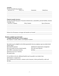# *Annuities*

|                                                                                                                                                                                                                                                                          | Policy Co. | Annuitants                                                                                | <b>Beneficiary</b>                                                                                                                                                                              |
|--------------------------------------------------------------------------------------------------------------------------------------------------------------------------------------------------------------------------------------------------------------------------|------------|-------------------------------------------------------------------------------------------|-------------------------------------------------------------------------------------------------------------------------------------------------------------------------------------------------|
|                                                                                                                                                                                                                                                                          |            |                                                                                           |                                                                                                                                                                                                 |
| <b>Property/casualty insurance</b>                                                                                                                                                                                                                                       |            |                                                                                           |                                                                                                                                                                                                 |
|                                                                                                                                                                                                                                                                          |            |                                                                                           | We have the following types of insurance (homeowners, automobiles, personal liability, business                                                                                                 |
| coverages, etc.):<br><b>Insurance Company</b>                                                                                                                                                                                                                            |            | <b>Policy Number</b>                                                                      | Type of Insurance                                                                                                                                                                               |
|                                                                                                                                                                                                                                                                          |            |                                                                                           |                                                                                                                                                                                                 |
|                                                                                                                                                                                                                                                                          |            |                                                                                           |                                                                                                                                                                                                 |
|                                                                                                                                                                                                                                                                          |            |                                                                                           |                                                                                                                                                                                                 |
|                                                                                                                                                                                                                                                                          |            |                                                                                           |                                                                                                                                                                                                 |
|                                                                                                                                                                                                                                                                          |            |                                                                                           |                                                                                                                                                                                                 |
|                                                                                                                                                                                                                                                                          |            |                                                                                           |                                                                                                                                                                                                 |
|                                                                                                                                                                                                                                                                          |            |                                                                                           |                                                                                                                                                                                                 |
|                                                                                                                                                                                                                                                                          |            |                                                                                           |                                                                                                                                                                                                 |
|                                                                                                                                                                                                                                                                          |            |                                                                                           |                                                                                                                                                                                                 |
|                                                                                                                                                                                                                                                                          |            |                                                                                           | $\Box$ Deferred compensation arrangement                                                                                                                                                        |
|                                                                                                                                                                                                                                                                          |            | $\Box$ Credit union deposits                                                              |                                                                                                                                                                                                 |
|                                                                                                                                                                                                                                                                          |            |                                                                                           |                                                                                                                                                                                                 |
| <b>Benefits Available Upon My Death</b><br>Available Death Benefits, Present Employer<br>all that apply):<br>$\Box$ Group life insurance<br>$\Box$ Group health insurance (death benefit)<br>$\Box$ COBRA continuation benefits)<br>$\Box$ Pension (survivors' benefits) |            |                                                                                           | My employer is (name, address, and telephone number) ____________________________<br>My family may be eligible for the following benefits from my employer upon my death (check<br>$\Box$ Other |
| $\Box$ Unpaid salary                                                                                                                                                                                                                                                     |            |                                                                                           | <u> 1989 - Johann Barbara, margaret eta idazlearia (h. 1989).</u>                                                                                                                               |
|                                                                                                                                                                                                                                                                          |            | If I am killed on the job, additional benefits may be payable to my family from:          |                                                                                                                                                                                                 |
| $\Box$ Workmen's compensation                                                                                                                                                                                                                                            |            |                                                                                           |                                                                                                                                                                                                 |
|                                                                                                                                                                                                                                                                          |            | □ Accidental travel insurance, common carrier insurance, tickets purchased by credit card |                                                                                                                                                                                                 |

\_\_\_\_\_\_\_\_\_\_\_\_\_\_\_\_\_\_\_\_\_\_\_\_\_\_\_\_\_\_\_\_\_\_\_\_\_\_\_\_\_\_\_\_\_\_\_\_\_\_\_\_\_\_\_\_\_\_\_\_\_\_\_\_\_\_\_\_\_\_\_\_\_\_\_\_\_\_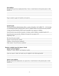### *Past employer*

Because of my previous employment there, I have a vested interest in the pension plan or other benefits at:\_\_\_\_\_\_\_\_\_\_\_\_\_\_\_\_\_\_\_\_\_\_\_\_\_\_\_\_\_\_\_\_\_\_\_\_\_\_\_\_\_\_\_\_\_\_\_\_\_\_\_\_\_\_\_\_\_\_\_\_\_\_\_\_\_\_\_\_\_

\_\_\_\_\_\_\_\_\_\_\_\_\_\_\_\_\_\_\_\_\_\_\_\_\_\_\_\_\_\_\_\_\_\_\_\_\_\_\_\_\_\_\_\_\_\_\_\_\_\_\_\_\_\_\_\_\_\_\_\_\_\_\_\_\_\_\_\_\_\_\_\_\_\_\_\_\_\_ \_\_\_\_\_\_\_\_\_\_\_\_\_\_\_\_\_\_\_\_\_\_\_\_\_\_\_\_\_\_\_\_\_\_\_\_\_\_\_\_\_\_\_\_\_\_\_\_\_\_\_\_\_\_\_\_\_\_\_\_\_\_\_\_\_\_\_\_\_\_\_\_\_\_\_\_\_\_ \_\_\_\_\_\_\_\_\_\_\_\_\_\_\_\_\_\_\_\_\_\_\_\_\_\_\_\_\_\_\_\_\_\_\_\_\_\_\_\_\_\_\_\_\_\_\_\_\_\_\_\_\_\_\_\_\_\_\_\_\_\_\_\_\_\_\_\_\_\_\_\_\_\_\_\_\_\_

\_\_\_\_\_\_\_\_\_\_\_\_\_\_\_\_\_\_\_\_\_\_\_\_\_\_\_\_\_\_\_\_\_\_\_\_\_\_\_\_\_\_\_\_\_\_\_\_\_\_\_\_\_\_\_\_\_\_\_\_\_\_\_\_\_\_\_\_\_\_\_\_\_\_\_\_\_\_ \_\_\_\_\_\_\_\_\_\_\_\_\_\_\_\_\_\_\_\_\_\_\_\_\_\_\_\_\_\_\_\_\_\_\_\_\_\_\_\_\_\_\_\_\_\_\_\_\_\_\_\_\_\_\_\_\_\_\_\_\_\_\_\_\_\_\_\_\_\_\_\_\_\_\_\_\_\_ \_\_\_\_\_\_\_\_\_\_\_\_\_\_\_\_\_\_\_\_\_\_\_\_\_\_\_\_\_\_\_\_\_\_\_\_\_\_\_\_\_\_\_\_\_\_\_\_\_\_\_\_\_\_\_\_\_\_\_\_\_\_\_\_\_\_\_\_\_\_\_\_\_\_\_\_\_\_

Papers needed to apply for benefits are located at:

#### *Social Security*

The Social Security Administration offers a variety of benefits. Call 1 (800) 772 – 1213 for help in calculating the dollar amounts below and for complete details on all Social Security benefits.

A lump sum burial benefit of \$255 may be payable to my spouse or children.

Social Security may provide my spouse, ex-spouse, and/or children a monthly benefit of \$

Social Security may provide a lifetime of income for my spouse of \$\_\_\_\_\_\_\_\_\_\_\_\_\_\_ beginning at age  $\frac{\ }{\ }$ 

\_\_\_\_\_\_\_\_\_\_\_\_\_\_\_\_\_\_\_\_\_\_\_\_\_\_\_\_\_\_\_\_\_\_\_\_\_\_\_\_\_\_\_\_\_\_\_\_\_\_\_\_\_\_\_\_\_\_\_\_\_\_\_\_\_\_\_\_\_\_\_\_\_\_\_\_\_\_

\_\_\_\_\_\_\_\_\_\_\_\_\_\_\_\_\_\_\_\_\_\_\_\_\_\_\_\_\_\_\_\_\_\_\_\_\_\_\_\_\_\_\_\_\_\_\_\_\_\_\_\_\_\_\_\_\_\_\_\_\_\_\_\_\_\_\_\_\_\_\_\_\_\_\_\_\_\_

\_\_\_\_\_\_\_\_\_\_\_\_\_\_\_\_\_\_\_\_\_\_\_\_\_\_\_\_\_\_\_\_\_\_\_\_\_\_\_\_\_\_\_\_\_\_\_\_\_\_\_\_\_\_\_\_\_\_\_\_\_\_\_\_\_\_\_\_\_\_\_\_\_\_\_\_\_\_ \_\_\_\_\_\_\_\_\_\_\_\_\_\_\_\_\_\_\_\_\_\_\_\_\_\_\_\_\_\_\_\_\_\_\_\_\_\_\_\_\_\_\_\_\_\_\_\_\_\_\_\_\_\_\_\_\_\_\_\_\_\_\_\_\_\_\_\_\_\_\_\_\_\_\_\_\_\_

My Social Security number \_\_\_\_\_\_\_\_\_\_\_\_\_\_\_\_\_\_\_\_\_\_\_\_\_\_\_\_\_\_\_\_\_\_\_\_\_\_\_\_\_\_\_\_\_\_\_\_\_\_\_\_\_\_\_

Spouse's Social Security number  $\Box$ 

Children's Social Security number(s)\_\_\_\_\_\_\_\_\_\_\_\_\_\_\_\_\_\_\_\_\_\_\_\_\_\_\_\_\_\_\_\_\_\_\_\_\_\_\_\_\_\_\_\_\_\_\_\_

Other family's Social Security number(s)

### **Benefits Available Upon My Spouse's Death**

*Spouse's present employer* 

Employer's name, address, and telephone number\_\_\_\_\_\_\_\_\_\_\_\_\_\_\_\_\_\_\_\_\_\_\_\_\_\_\_\_\_\_\_\_\_\_\_

Upon my spouse's death, the family may be eligible for the following benefits:

### *Spouse's past employer*

Because of previous employment, my spouse has a vested interest in the pension plan or other benefits at:\_\_\_\_\_\_\_\_\_\_\_\_\_\_\_\_\_\_\_\_\_\_\_\_\_\_\_\_\_\_\_\_\_\_\_\_\_\_\_\_\_\_\_\_\_\_\_\_\_\_\_\_\_\_\_\_\_\_\_\_\_\_\_\_\_\_\_\_\_

\_\_\_\_\_\_\_\_\_\_\_\_\_\_\_\_\_\_\_\_\_\_\_\_\_\_\_\_\_\_\_\_\_\_\_\_\_\_\_\_\_\_\_\_\_\_\_\_\_\_\_\_\_\_\_\_\_\_\_\_\_\_\_\_\_\_\_\_\_\_\_\_\_\_\_\_\_\_ \_\_\_\_\_\_\_\_\_\_\_\_\_\_\_\_\_\_\_\_\_\_\_\_\_\_\_\_\_\_\_\_\_\_\_\_\_\_\_\_\_\_\_\_\_\_\_\_\_\_\_\_\_\_\_\_\_\_\_\_\_\_\_\_\_\_\_\_\_\_\_\_\_\_\_\_\_\_ \_\_\_\_\_\_\_\_\_\_\_\_\_\_\_\_\_\_\_\_\_\_\_\_\_\_\_\_\_\_\_\_\_\_\_\_\_\_\_\_\_\_\_\_\_\_\_\_\_\_\_\_\_\_\_\_\_\_\_\_\_\_\_\_\_\_\_\_\_\_\_\_\_\_\_\_\_\_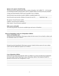## *Spouse or Ex-spouse's Social Security*

The Social Security Administration offers a variety of benefits. Call 1 (800) 772 – 1213 for help in calculating the dollar amounts below and for complete details on all Social Security benefits.

A lump sum burial benefit of \$255 may be payable to me or children.

Social Security may provide me and/or children a monthly benefit of \$

Social Security may provide a lifetime of income for me of \$\_\_\_\_\_, beginning at age \_\_\_\_\_\_.

| My spouse's Social Security number   |  |
|--------------------------------------|--|
| Children's Social Security number(s) |  |

Other family's Social Security number(s) \_\_\_\_\_\_\_\_\_\_\_\_\_\_\_\_\_\_\_\_\_\_\_\_\_\_\_\_\_\_\_\_\_\_\_\_\_\_\_\_\_\_\_\_

# *Other sources of benefits*

The following benefits may also be available (type and source of benefits): \_\_\_\_\_\_\_\_\_\_\_\_\_\_\_\_\_\_\_\_\_\_\_\_\_\_\_\_\_\_\_\_\_\_

# **Sources of Immediate Cash/Care of Dependent Children**

#### *Sources of immediate cash*

During the period immediately following my death, the best sources for my family to obtain cash for immediate needs are as follows: \_\_\_\_\_\_\_\_\_\_\_\_\_\_\_\_\_\_\_\_\_\_\_\_\_\_\_\_\_\_\_\_\_\_\_\_\_\_\_\_\_\_\_\_\_\_\_\_\_

\_\_\_\_\_\_\_\_\_\_\_\_\_\_\_\_\_\_\_\_\_\_\_\_\_\_\_\_\_\_\_\_\_\_\_\_\_\_\_\_\_\_\_\_\_\_\_\_\_\_\_\_\_\_\_\_\_\_\_\_\_\_\_\_\_\_\_\_\_\_\_\_\_\_\_\_\_\_ \_\_\_\_\_\_\_\_\_\_\_\_\_\_\_\_\_\_\_\_\_\_\_\_\_\_\_\_\_\_\_\_\_\_\_\_\_\_\_\_\_\_\_\_\_\_\_\_\_\_\_\_\_\_\_\_\_\_\_\_\_\_\_\_\_\_\_\_\_\_\_\_\_\_\_\_\_\_ \_\_\_\_\_\_\_\_\_\_\_\_\_\_\_\_\_\_\_\_\_\_\_\_\_\_\_\_\_\_\_\_\_\_\_\_\_\_\_\_\_\_\_\_\_\_\_\_\_\_\_\_\_\_\_\_\_\_\_\_\_\_\_\_\_\_\_\_\_\_\_\_\_\_\_\_\_\_

\_\_\_\_\_\_\_\_\_\_\_\_\_\_\_\_\_\_\_\_\_\_\_\_\_\_\_\_\_\_\_\_\_\_\_\_\_\_\_\_\_\_\_\_\_\_\_\_\_\_\_\_\_\_\_\_\_\_\_\_\_\_\_\_\_\_\_\_\_\_\_\_\_\_\_\_\_\_ \_\_\_\_\_\_\_\_\_\_\_\_\_\_\_\_\_\_\_\_\_\_\_\_\_\_\_\_\_\_\_\_\_\_\_\_\_\_\_\_\_\_\_\_\_\_\_\_\_\_\_\_\_\_\_\_\_\_\_\_\_\_\_\_\_\_\_\_\_\_\_\_\_\_\_\_\_\_

During the period immediately following my spouse's death, the best sources for me to obtain cash to meet the additional expenses are as follows: \_\_\_\_\_\_\_\_\_\_\_\_\_\_\_\_\_\_\_\_\_\_\_\_\_\_\_\_\_\_\_\_\_\_\_\_

\_\_\_\_\_\_\_\_\_\_\_\_\_\_\_\_\_\_\_\_\_\_\_\_\_\_\_\_\_\_\_\_\_\_\_\_\_\_\_\_\_\_\_\_\_\_\_\_\_\_\_\_\_\_\_\_\_\_\_\_\_\_\_\_\_\_\_\_\_\_\_\_\_\_\_\_\_\_ \_\_\_\_\_\_\_\_\_\_\_\_\_\_\_\_\_\_\_\_\_\_\_\_\_\_\_\_\_\_\_\_\_\_\_\_\_\_\_\_\_\_\_\_\_\_\_\_\_\_\_\_\_\_\_\_\_\_\_\_\_\_\_\_\_\_\_\_\_\_\_\_\_\_\_\_\_\_ \_\_\_\_\_\_\_\_\_\_\_\_\_\_\_\_\_\_\_\_\_\_\_\_\_\_\_\_\_\_\_\_\_\_\_\_\_\_\_\_\_\_\_\_\_\_\_\_\_\_\_\_\_\_\_\_\_\_\_\_\_\_\_\_\_\_\_\_\_\_\_\_\_\_\_\_\_\_

# *Care of dependent children*

In the event my spouse and I both die while our children are young, the following arrangements have been made on their behalf (give name, relationship, address, and telephone number of guardian and describe trust arrangements, if any): \_\_\_\_\_\_\_\_\_\_\_\_\_\_\_\_\_\_\_\_\_\_\_\_\_\_\_\_\_\_\_\_\_\_\_\_\_\_

\_\_\_\_\_\_\_\_\_\_\_\_\_\_\_\_\_\_\_\_\_\_\_\_\_\_\_\_\_\_\_\_\_\_\_\_\_\_\_\_\_\_\_\_\_\_\_\_\_\_\_\_\_\_\_\_\_\_\_\_\_\_\_\_\_\_\_\_\_\_\_\_\_\_\_\_\_\_ \_\_\_\_\_\_\_\_\_\_\_\_\_\_\_\_\_\_\_\_\_\_\_\_\_\_\_\_\_\_\_\_\_\_\_\_\_\_\_\_\_\_\_\_\_\_\_\_\_\_\_\_\_\_\_\_\_\_\_\_\_\_\_\_\_\_\_\_\_\_\_\_\_\_\_\_\_\_ \_\_\_\_\_\_\_\_\_\_\_\_\_\_\_\_\_\_\_\_\_\_\_\_\_\_\_\_\_\_\_\_\_\_\_\_\_\_\_\_\_\_\_\_\_\_\_\_\_\_\_\_\_\_\_\_\_\_\_\_\_\_\_\_\_\_\_\_\_\_\_\_\_\_\_\_\_\_ \_\_\_\_\_\_\_\_\_\_\_\_\_\_\_\_\_\_\_\_\_\_\_\_\_\_\_\_\_\_\_\_\_\_\_\_\_\_\_\_\_\_\_\_\_\_\_\_\_\_\_\_\_\_\_\_\_\_\_\_\_\_\_\_\_\_\_\_\_\_\_\_\_\_\_\_\_\_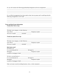Or, my will contains the following guardianship designation and trust arrangements: \_\_\_\_\_\_\_\_

| Or, no official arrangements have been made to date, but my spouse and I would hope that the<br><b>Trusts and Real Estate Information</b><br>$Trust(s)$ that I have set up: |  |  |  |
|-----------------------------------------------------------------------------------------------------------------------------------------------------------------------------|--|--|--|
|                                                                                                                                                                             |  |  |  |
|                                                                                                                                                                             |  |  |  |
| The trust is funded ___________ unfunded ________                                                                                                                           |  |  |  |
| $Trust(s)$ my spouse has set up:                                                                                                                                            |  |  |  |
|                                                                                                                                                                             |  |  |  |
|                                                                                                                                                                             |  |  |  |
| The trust is funded ____________ unfunded ________                                                                                                                          |  |  |  |
| <b>Real estate owned</b><br>Our home is at:                                                                                                                                 |  |  |  |
|                                                                                                                                                                             |  |  |  |
|                                                                                                                                                                             |  |  |  |
|                                                                                                                                                                             |  |  |  |
|                                                                                                                                                                             |  |  |  |
|                                                                                                                                                                             |  |  |  |
|                                                                                                                                                                             |  |  |  |
|                                                                                                                                                                             |  |  |  |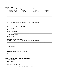| Checking, savings                                                                                                                                                                              | Account | Joint or                                        | Name and |
|------------------------------------------------------------------------------------------------------------------------------------------------------------------------------------------------|---------|-------------------------------------------------|----------|
|                                                                                                                                                                                                |         | Certificates of deposit humber individual owner | location |
|                                                                                                                                                                                                |         |                                                 |          |
|                                                                                                                                                                                                |         |                                                 |          |
| Location of passbooks, checkbooks, cancelled checks, and statements                                                                                                                            |         |                                                 |          |
|                                                                                                                                                                                                |         |                                                 |          |
| <b>Stocks, Bonds, and Securities Portfolio</b>                                                                                                                                                 |         |                                                 |          |
| Records located<br><u>Example 2001</u>                                                                                                                                                         |         |                                                 |          |
|                                                                                                                                                                                                |         |                                                 |          |
| Records located                                                                                                                                                                                |         |                                                 |          |
|                                                                                                                                                                                                |         |                                                 |          |
|                                                                                                                                                                                                |         |                                                 |          |
|                                                                                                                                                                                                |         |                                                 |          |
|                                                                                                                                                                                                |         |                                                 |          |
|                                                                                                                                                                                                |         |                                                 |          |
|                                                                                                                                                                                                |         |                                                 |          |
|                                                                                                                                                                                                |         |                                                 |          |
| <b>Additional financial information</b><br>Major debts (other than first mortgagees and revolving charge accounts): ___________________________<br>Location of notes payables and receivables: |         |                                                 |          |
|                                                                                                                                                                                                |         |                                                 |          |
|                                                                                                                                                                                                |         |                                                 |          |
|                                                                                                                                                                                                |         |                                                 |          |
| <b>Business, Farm, or Other Enterprise Information</b>                                                                                                                                         |         |                                                 |          |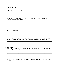<u> 1989 - Johann Harry Harry Harry Harry Harry Harry Harry Harry Harry Harry Harry Harry Harry Harry Harry Harry</u>

Is the business subject to a buy/sell agreement?\_\_\_\_\_\_\_\_\_\_\_\_\_\_\_\_\_\_\_\_\_\_\_\_\_\_\_\_\_\_\_\_\_

Information on any other business interests or farms owned \_\_\_\_\_\_\_\_\_\_\_\_\_\_\_\_\_\_\_\_\_

Arrangements which have been made (or should be made after my death) in continuing or 

Person or persons who could offer sound advice in carrying on the business, or operating the farm – or in disposing of the business or farm (names, addresses, and telephone numbers) \_\_\_\_\_

#### **Personal Effects**

In addition to any property or business owned jointly with me, my spouse owns the following 

In the event of my spouse's death, she/he wants the following disposition made of that property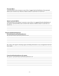# **Personal effects**

At the discretion of my executor or next of kin, I suggest that the distribution of my personal effects (not covered in my will) be as follows (what it is and who is to receive it):

# Spouse's personal effects

At the discretion of my spouse's executor or next of kin, it is suggested that the distribution of my spouse's personal effects (not covered in the will) be as follows (what it is and who is to receive it):

# **Funeral and Burial Preferences**

**Personal funeral and burial preferences** 

My personal funeral and burial preferences are:

My wishes with regard to donating organs (including information on any arrangements that have 

### **Funeral and burial preferences for spouse**

My spouse's personal funeral and burial preferences are: \_\_\_\_\_\_\_\_\_\_\_\_\_\_\_\_\_\_\_\_\_\_\_\_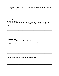My spouse's wishes with regard to donating organs (including information on any arrangements 

# **People to Notify**

# **Relatives and friends**

Upon my death the following people should be notified immediately (names, addresses, and telephone numbers of closest relatives and friends including those who, in turn, will notify 

# **Confidential advisors**

Upon my death, the following people should be notified (names, addresses, and telephone numbers of funeral directors, physician, attorney, life insurance agent, executor, employer, or business partner, etc.):

Upon my spouse's death, the following people should be notified: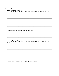## **Obituary Information**

## Obituary information for myself

This biographical information will be helpful in preparing an obituary news story about me:

#### Obituary information for my spouse

This biographical information will be helpful in preparing an obituary news story about my spouse: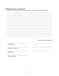# **Additional Instructions and Information**

Additional instructions or information for survivors that has not been covered previously:

|                       | Date completed and/or updated |
|-----------------------|-------------------------------|
|                       |                               |
| My Signature          |                               |
|                       |                               |
| My spouse's signature |                               |
|                       |                               |
|                       |                               |
| Witnesses             |                               |
|                       |                               |
| Notarizing agent      |                               |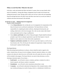# **When a Loved One Dies: What do I do next?**

In the days, weeks and months that follow the death of a spouse, there are many details which need to be attended to. Among other things, arrangements must be made for the funeral and settling the deceased's estate. Having a plan in place now for how to deal with such impending financial and legal decisions will relieve stress and allow more time for you and your family to celebrate and mourn the deceased's life and death.

# **In the Days to come … Making Funeral Arrangements**

People to Notify Immediately:

- A local **funeral director** who can help take care of arrangements for transportation of the body, the funeral service and burial considerations. The funeral director will take responsibility for completing the death certificate, obtaining the burial permit, and sending a death notice to the local newspaper. He or she can also contact other funeral service participants (such as clergy or pallbearers).
- Close **relatives and friends** who will be of help and support. People should be informed promptly to give them an adequate opportunity to pay their final respects. It may be helpful to create a phone tree to then inform other acquaintances.
- **Employers and business associates** who will want to pay their respects, as well as tie up loose business ends. This will also give the employer the opportunity to begin reviewing the deceased's employee benefit package.

# The Funeral Service

When discussing funeral preferences in advance, choices should be made in regards to the casket, visitation hours, the type of service (religious, fraternal, memorial, military, etc.), ethnic customs to be observed, where the service will be held, who will conduct the service, and what will be included in the program. The funeral director can assist in these decisions as well as choosing an interment option. If you choose …

- **Earth burial** you will need to choose a cemetery, purchase a cemetery lot, select a burial receptacle, and choose a marker or monument
- **Entombment** you will need to select mausoleum and purchase a crypt.
- **Cremation** you will need to determine the disposition of the cremated remains, which may include purchasing an urn and/or buying a niche in a columbarium to hold the urn.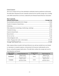# Funeral Expenses

The cost of a funeral will vary from individual to individual, based on preferences and location. The table below illustrates the most commonly selected services and the average costs, according to the 2005 General Price List Survey conducted by the National Funeral Directors Association.

| <b>Most Commonly</b><br><b>Selected Funeral Items</b><br><u> 1980 - John Stein, mars and de Britain (b. 1980)</u> | <b>Average Cost</b> |
|-------------------------------------------------------------------------------------------------------------------|---------------------|
|                                                                                                                   |                     |
|                                                                                                                   |                     |
|                                                                                                                   |                     |
|                                                                                                                   |                     |
|                                                                                                                   |                     |
|                                                                                                                   |                     |
|                                                                                                                   |                     |
|                                                                                                                   |                     |
|                                                                                                                   |                     |
|                                                                                                                   |                     |
|                                                                                                                   |                     |

Other expenses (those not paid to the funeral director) vary and may include but are not limited to: internment or cremation expenses, an honorarium for the person conducting the service, flowers, and paid newspaper death notices. The table below outlines the average total costs for final disposition and funeral.

| <b>Choice of Final</b><br><b>Disposition</b> | <b>Average Disposition Cost</b> | <b>Average Funeral</b><br>Cost | <b>Total Average Cost</b> |
|----------------------------------------------|---------------------------------|--------------------------------|---------------------------|
|                                              | Median: \$1,650                 |                                | Median: \$7,232           |
| <b>Earth Burial</b>                          | Maximum: \$4,295                | \$5,582                        | Maximum: \$9,877          |
|                                              | Median: \$1,495                 |                                | Median: \$7,077           |
| Cremation                                    | Maximum: \$3,895                | \$5,582                        | Maximum: \$9,477          |
|                                              |                                 |                                |                           |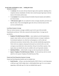# **In the Weeks and Months to come … Settling the Estate**

Advisors to Contact:

- An **attorney** who can assist with any financial, legal, and tax questions. Speaking with a competent attorney immediately will allow time to take the proper legal steps in the best interest of the family and the estate.
- An **accountant** who can help reevaluate the families financial situation and establish a new financial plan.
- A **life insurance agent** who can explain the various coverages and policy provisions and help file claims. Find a knowledgeable agent who will act in the best interest of the survivors and beneficiaries.

# Last Illness Expense Coverage

There are various insurance coverages available to pay for all or part of the inevitable hospitalization and doctors' bills often connected with terminal illness. Coverage may be provided by:

- **Employer-Provided Insurance Policies** many employers provide hospitalization, surgical, major medical, and excess major medical insurance coverage to employees. Governmental employees very often have such programs, as well as trade and professional associations, fraternal orders, clubs, and other membership organizations. Check with every employer and group the deceased was involved with to see what coverages are provided and to what extent they will pay for last-illness expenses. Also inquire about any benefits that may be available to the surviving family members.
- **Individual Policies** similar health coverage can also be purchased by individuals.
- **Spouse's Employer-Provided Insurance Policies** the deceased may also be covered under his or her spouse's Employer-Provided Insurance Plan.

## Funeral and Final Disposition Expenses Coverage

Funeral and final disposition benefits may be available from:

**Social Security** – will pay a one-time death benefit of \$255 if there is a surviving spouse, a child up to age 18 still in high school, a child disabled before age 22, or an ex-spouse supporting a child under age 16 or that was disabled before age 22.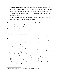- **Veterans' Administration** may provide benefits to help with burial expenses if the deceased was in a V.A. hospital at the time of death or receiving a V.A. pension. Besides monetary reimbursement, veterans are entitled to a burial plot in a national cemetery, an American flag to be draped over the coffin, and a headstone or memorial marker upon request at no charge.
- **Burial insurance** individuals may purchase burial policies, join burial societies, or preplan and prepay for the funeral service to cover expenses.

Funeral and burial costs not covered by these sources of benefits may be paid for through resources from the deceased's estate, immediate payment by survivors, or a plan from a local bank or funeral-financing service. Other expenses that must be made immediately include: flowers, a courtesy fee for the clergyman, rental of any extra transportation for funeral procession, and extra certified copies of the death certificate.<sup>1</sup>

### Anticipated Expenses and Income Sources

 $\overline{a}$ 

When the deceased was a substantial contributor to the family income or if the surviving spouse's work has to be postponed to cope with death-related issues, alternative sources of income must be sought to cover expenditures. In addition to regular living expenses, many additional costs are incurred during the postmortem period including last-illness and funeral/interment fees. During the week before and after the funeral, be prepared for expenses such as long-distance phone calls, accommodations and food for out-of-town relatives and friends, funeral attire, filing claims, babysitters, etc. Such expenses can add up to a significant amount and it may be some time before the survivors receive any benefits, insurance proceeds, or any other funds to which they are entitled. Further, some prior sources of money may be inaccessible in the period immediately following a death:

**Joint Savings & Checking Account** – the law in some states requires the bank to stop payment on any checks drawn on a joint checking account upon the death of one party. However, the bank can speak with tax authorities to allow a portion of the account to be released to cover the survivor's living expenses. A request can be filed with the bank for the release of these funds.

 $<sup>1</sup>$  Death certificates are available from the state board of health and the treating hospital.</sup>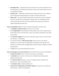- **Safe Deposit Box** if registered solely in the deceased's name, the safe deposit box will be sealed upon his or her death and will remain so until a court order provides access to it or until probate is opened.
- **Charge Cards** if held jointly with the deceased, charge cards may not be available to the surviving partner during this period. An attorney can help with this issue.
- **Other assets** any assets owned by the deceased, or jointly with a survivor, should not be sold or converted to cash until probate is opened. The court will determine which assets will pass directly to the survivors and which will be used to pay off claims of creditors and federal and state taxes.

**Sources of Immediate Cash** (to be used for regular living expenses and other costs)

- A **Checking or Savings Account** in the survivor's own name
- **U.S. Savings Bonds**, even held jointly with the decedent, may not be considered part of the deceased's estate. If the need arises, contact your attorney to determine if your bonds can be cashed.
- **The deceased's employer** may still owe the deceased wages, sick pay, accrued vacation time, bonuses, or commissions.
- A claim may be filed on a **life insurance policy** with the survivor as the named beneficiary. If a claim is filed on a larger policy, the beneficiary may take part of the proceeds in cash and leave the remaining balance with the insurance company to continue drawing interest.
- A **trust** may be set up by the deceased for survivors.

**Sources of Emergency Loans and Assistance** (to be used if the above sources are insufficient)

- **Friends and relatives** may be a source of extra funds in an emergency.
- A **local bank** may be a source of a short-term or installment loan until permanent benefits can be procured.
- The **American Red Cross** may be a source of emergency funds, especially if the deceased was a veteran, until benefits arrive.
- The **Salvation Army** is another possible source.
- **Social Services Organizations and Welfare Agencies** can analyze your situation and offer assistance or make recommendations.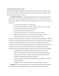#### Benefits Available and How to Apply

Life and health insurance companies offer a variety of coverage policies to individuals. These policies provide a mixture of benefits available to survivors upon the death of a spouse, which can help replace the deceased's income:

**Life Insurance Policies** are typically payable directly to the surviving spouse, however, they can also be set up to be payable to the deceased's estate or to a trust for the surviving spouse and/or children. The amount paid out to beneficiaries may vary from the face value of the policy if …

- a *term rider* has been added to the basic policy.
- the *death was accidental* and an accident insurance policy was in force, under certain conditions additional coverage may apply.
- *loans* have been taken out against the policy.
- the proceeds are *assigned to a creditor* upon the deceased's death.
- some of the insurance money is needed to pay *federal estate taxes, state inheritance taxes, the current year's taxes, or to pay other debt*.

Whoever the beneficiary may be, the payment format must be carefully determined. Whether they choose to acquire the proceeds through a lump sum or through another payment option, once the decision is made another option cannot be chosen. It is often wise to choose a settlement option other than a lump sum payment in order to help provide the survivors with a lifelong monthly income, as well as additional income that may be needed until any children are grown and educated. Standard payment options fall under one of three methods:

- An *annuity* provides a monthly income for the remainder of the surviving spouse's life. Annuities can also be set up to provide monthly payments for a specific number of months. This way another family member may receive the remainder of the payments after the spouse's death.
- The surviving spouse may also set up *fixed payments* to be paid out each month, as long as funds last.
- Another option is to stretch the funds out over a *fixed number of months*.

**Annuities** can also be purchased from a life insurance company. If the deceased and his or her spouse were receiving payments from the annuity under a "joint and survivor"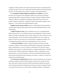arrangement, reduced payments will continue to be paid to the spouse. If payments had not yet begun, the spouse may receive a death benefit (usually equivalent to either the premiums paid in or the cash surrender value, whichever is greater) as the named beneficiary.

The **Consolidated Omnibus Budget Reconciliation Act (COBRA)** provides the deceased's surviving spouse and/or dependent children with continuation of employer sponsored group health coverage that otherwise would be terminated. COBRA, passed by Congress in 1986 as an amendment to the Employee Retirement Income Security Act, provides continued coverage that – though more expensive than health coverage for active employees – is less expensive than individual health coverage.

**Disability Income Insurance Policies** may pay a death benefit if the deceased died an accidental death. Employer based insurance may also provide disability benefits for workrelated injuries.

A **Medical Savings Account,** used in combination with a low-cost, high deductible health insurance policy, is a tax-sheltered savings account designated for medical expenses. Deposits are 100% tax-deductible and can be easily withdrawn by check or debit card to pay routine medical bills, with tax-free dollars, until the deductible is met. Like an IRA, the balance of an MSA accrues interest on a tax-favored basis to supplement retirement. The surviving spouse may gain control of any remaining balance on such an account.

The **Deceased's Employer** should be contacted to determine what types of health coverage are available. Typical company provided benefits include pension fund benefits (either a death benefit or a survivor's pension), a death benefit on the deceased's group disability income insurance, a credit union balance, an employee death benefit, a settlement on the deceased's deferred compensation arrangement, Worker's compensation, Group Health Insurance, or Group Life Insurance. It also must be determined whether the health insurance plan the family had with the company will continue, or whether it will need to be transferred to an individual policy.

The **Social Security Administration** should be contacted to determine who, if anyone, in the family is entitled to benefits from the deceased's social security coverage. The local office will be able to disclose the specific benefits and quantities available at the present time. The amount of benefits is determined by the deceased's income, the length of time he or she paid Social Security taxes, and the number of dependent children. Any dependent

- 23 -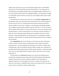children under age 18 (or up to age 18 if still enrolled in high school), or child disabled before age 22, are covered under the deceased's Social Security. A surviving spouse (or former spouse) is also entitled to benefits if there are dependent children under age 16, or if he or she is age 60 or older. If there are no dependent children, a surviving spouse can apply for a full benefit at age 65. However, survivors may not be eligible if their income exceeds specified limits.

If the deceased was a veteran of the Armed Forces, the **Veteran's Administration** can help determine what, if any, government life insurance policies were in effect during his or her time of service. The V.A. can help explain the provisions of the policy and any the benefits available to the survivors. In addition, a surviving spouse and dependent children may be eligible for other benefits, besides life insurance, from the V.A. as well. The funeral director typically files the initial V.A. forms for the survivors, so be sure to inform him or her that the deceased is a veteran. If the deceased was on active duty at the time of death, or if death was service-related, government benefits may be available in the form of a burial allowance, a lump-sum death gratuity, and compensation for a surviving spouse, children, and parents. Contact both the V.A. and the deceased's specific branch of service to apply for survivor benefits.

Many **organizations** offer survivor benefits as well. Contact any union, professional society, vocational or trade association, fraternal benefit society, business association, automobile club, or any other organization the deceased was a member of to inquire about available benefits. This may include life insurance, health coverages with a "principal sum" (accidental death benefit), pension plan (with either pension payments or a lump-sum benefit for the survivor, special death benefit for member's family, credit union, return of unused annual dues, etc.

If the deceased was a **Civil Service** employee, he or she may have health insurance coverage from a group life insurance policy under the Federal Employees Health Benefits Program. There may also be survivor annuities available to the surviving spouse or dependent children of a covered employee. The survivor's annuity will continue for life unless he or she remarries. A dependent child's annuity will continue until he or she reaches age 18 or age 22 if enrolled as a full-time college student.

- 24 -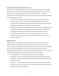# Existing Debts and Other Major Financial Concerns

After the death of a spouse, attending to financial concerns such as previously incurred debts, collection of assets owed, business interests and settling the deceased's estate can seem like a daunting task. The family's financial advisors and an attorney can help to simplify and uncomplicated the task of reorganizing the family's financial situation during the period leading up to the probating of the estate.

- **List all the deceased's debts at the time of death and supply this list to the attorney.**
- Consult the attorney on how to proceed with obligations jointly entered into by the deceased and the surviving spouse. Among other things, this may include a homeowner's mortgage or co-signed notes not covered by credit life insurance.
- The attorney can also assist with changing the title of ownership on the deceased's home, automobile, or other property formerly held in joint title with another individual. The insurance provider of each of these items should be informed of the title change.
- As part of the probate process, the executor or administer of the estate will see to collecting any money or assets owed to the deceased. Provide the attorney with any evidence of debts owed.

### **Business Interest**

If the deceased was self-employed or the owner of an interest in a business, the executor or administer of the estate is responsible for disposing of the deceased's business interests. However, there are very important financial and legal issues to be resolved and survivors should be aware of the situation and notify the attorney of the estimated value and if any prior arrangements have been made as to what to do with the deceased's business interest. The type of the deceased's business interest will determine what actions need to be made.

- *Sole Proprietorship* owned by a single person and is not incorporated.
- **Partnership** owned by two or more and is not incorporated. Unless otherwise stated beforehand in the partnership agreement, the partnership is automatically dissolved when a partner passes away.
- **Corporation** an incorporated business. The deceased may have been the sole owner, a majority owner or a minority owner of stock. A corporation continues to exist when this person passes away, at least in theory.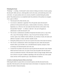## **Probating the Estate**

"Probating" – or settling – the deceased's estate consists of taking an inventory of assets, paying the deceased's debts and taxes, collecting debts owed to the estate, and transferring assets to his or her heirs. An expert probate and tax law attorney should be consulted during the probate period. The probate process is accomplished under the jurisdiction of the probate (or surrogate) court, a goes as follows:

- The deceased will is filed with the court.
- An executor or administer is appointed. The will typically names the deceased's preference for this position (the spouse, a family member, the attorney, a bank trust department, etc.). However, the court makes the final selection on this matter. If the deceased died "intestate" – or without a valid will – the court will appoint an administrator to settle the deceased's will.
- The executor or administrator assembles all important documents such as a copy of the will, a copy of the marriage certificate, a copy of any previous marriage or divorce records, copies of any children's birth certificates, any inventory of assets, the names and addresses of people to contact, and other valuable records.
- During the probate process, the court acts to preserve the assets of the estate for the heirs.
- The executor or administrator collects and manages the assets; settles the deceased's business affairs; pays the debts, taxes, and administration expenses; and gives a final accounting to all interested parties and to the court.
- Counsel fees for probate work and taxes must be paid from the deceased's estate. Besides federal and state income taxes, two types of taxes may be payable when the deceased's assets are transferred to the heirs. If the deceased's estate was large enough, federal estate taxes will have to be paid. In addition, depending on the state and the size of the taxable estate, the heirs will be required to pay a state inheritance or death tax.

### A Guide to Conducting Financial Affairs in the Future

Following the death of a spouse there are increased expenses and often decreased income, especially if the deceased was the major bread winner in the family. It is important at this time to reassess the family's financial situation.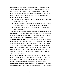- **Create a Budget:** Creating a budget for the family will help make the most of your financial resources. The family check-book and various types of financial software are vital components of creating and maintaining a beneficial financial plan. Financial software can be particularly helpful in organizing, tracking and evaluating the family's budget from month to month. To begin, list all sources of income and all monthly expenses. Monthly expenses will include:
	- $\checkmark$  *Fixed expenses* rent/mortgage payments, installment payments, property taxes, utilities, and insurance premiums
	- $\checkmark$  *Living expenses* food, clothing, health care not covered by insurance, home/yard maintenance and repair, dry cleaning, vehicle maintenance and gasoline, etc.
	- $\checkmark$  *Miscellaneous* savings, recreation, charitable donations or tithe, gifts given, emergency expenses, etc.

If the family's monthly income exceeds monthly expenses, the excess should be put into a savings plan or invested. If monthly expenses exceed monthly income, the family will have to reevaluate and decrease their expenses. When it comes to following a budget, it is important to remain flexible but always stay within the family's means.

- **Reevaluate Insurance Coverage:** There are many issues that will need to be re-looked at and re-thought out after the death of a spouse. For example, the surviving spouse's life insurance may need to be increased to cover a mortgage or a child's college education. Home, life or auto insurance policies may need to be transferred from a joint to single owner policy. Or the deceased's employer-provided life and health plans may need to be transferred to a surviving spouse's employer-provided plan. A qualified insurance agent should be consulted to assist in evaluating insurance issues, such as these, based on the family's new financial situation.
- **Set up a Savings and Emergency Fund:** Ideally the family will already have savings and an emergency fun in place. If this is not the case, it is essential to set one up now since funds may be tighter than they where when the spouse was still alive. If at all possible, a portion of income should be contributed to a savings fund as well.
- **Federal Income Taxes:** The year following the death of a spouse, the surviving spouse can still file a joint return. There are also other tax breaks available to a surviving spouse.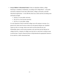- **Set up Children's Educational Funds:** If there are dependent children, college financing is a mandatory consideration. According to the College Board – a non-profit association composed of more than 5,000 schools, colleges, universities, and other educational organizations – in the 2005-06 school year, tuition and fees (excluding room and board) averaged:
	- $\checkmark$  \$5,491 at a 4-year public university.
	- $\checkmark$  \$21,235 at a 4-year private university.
	- $\checkmark$  \$2,191 at a 2-year public college.

It is also important to keep in mind that college costs will continue to increase. As a general rule, tuition rates increase at about twice the general inflation rate. Qualified experts say that, on average, tuition rates tend to increase about 8% per year. Scholarships, grants, social security payments, and a part-time job may help pay for college, however, a majority of college costs may have to come from a savings account or private loans. Consult a financial advisor to help determine the appropriate amount to be set aside for a child's educational fund.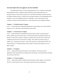# **Survival Guide: How do I apply for survivor benefits?**

 The following form letters will aid in inquiring about survivor's benefits and requesting benefit application forms. Templates should be filled out by the named beneficiary, the deceased's spouse or by the person acting on his or her behalf. Documents and forms necessary for filing for benefits include: a certified copy of the death certificate or the attending physician's statement; a copy of the wedding certificate, if applicable; a copy of the deceased's birth certificate; and copies of birth certificates for a surviving spouse and any dependent children.

#### *Template 1 – To Health Insurance Company*

Use if … the deceased had an individual hospitalization, major medical, excess major medical, long-term care, or other type of special health insurance policy.

### *Template 2 – To Life Insurance Company*

Use if … the deceased had an individual life insurance policy, annuity, accident insurance policy, disability income insurance policy, or life insurance policy that offered long-term care benefits. Use this letter to request a claimant's statement form. Once the form is received and completed return the form to the insurance company. Also include: the insurance policy or number; and – if pertinent to the claim – proof of the deceased's accidental death. NOTE: The insurance policy is a valuable document; always request a receipt when turning it over to an agent or agency.

#### *Template 3 – To Employer*

Use to … obtain benefits from the deceased's current employer. The human resources department will be most helpful in providing advice and assistance concerning benefits and filing any necessary claim forms.

### *Template 4 – To Former Employer*

Use to … inquire about benefits available from the deceased's former employer. The deceased may have a vested interest in one or more pension funds from previous employment.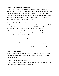## *Template 5 – To Social Security Administration*

Use to … contact the nearest Social Security Administration office. Call the Social Security Administration at 1 (800) 772 – 1213, or look up the address and telephone number in your local telephone directory. Other necessary documents and forms required for applying for Social Security benefits include: the Social Security number; the Social Security number of a surviving spouse and any dependent children; and copies of the deceased's tax record for the past year, or some other record of his or her previous year's earnings.

### *Template 6 – To Veterans' Administration (for government life insurance)*

Use if … the deceased had a government life insurance policy. To contact the Insurance Division of the V.A. send this letter to the center nearest you: either 500 Wissachickon Avenue, Philadelphia, PA 19010; or Fort Snelling, St. Paul, MN 55111. Call 1 (800) 827 – 1000 for additional questions or information. Other necessary documents required include: a copy of the deceased's discharge papers from the service; a copy of the death certificate (unless the death occurred in a V.A. hospital); and the deceased's V.A. claim number.

# *Template 7 – To Veterans' Administration (for other V.A. benefits)*

Use to … apply for benefits (other than life insurance) if the deceased veteran's death was service connected, or to inquire about possible benefits if the death was not service-related. Send this letter to the V.A. center nearest you: either 500 Wissachickon Avenue, Philadelphia, PA 19010; or Fort Snelling, St. Paul, MN 55111. Call 1 (800) 827 – 1000 for additional questions or information.

### *Template 8 – To Organization*

Use to … inquire about benefits from any organization or group of which the deceased was a member. Include any policies, certificates, and other valuable papers pertaining to his or her membership benefits.

### *Template 9 – To Civil Service Commission*

Use to … inquire about obtaining benefits which the deceased's estate and/or survivors may be entitled to because the deceased was a Civil Service employee.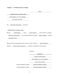# *Template 1 – To Health Insurance Company*

 $\qquad \qquad \text{(date)}$ 

(health insurance company name)

(street address or p.o. box number)

(city, state, zip code)

RE: (full name of deceased), Deceased.

(health insurance company name) :

My late (relationship) had a (type of policy) policy with your company. (full name of deceased) was insured under policy number (policy number) and died (month/day/year) .

Please send me the appropriate forms necessary to file a claim for (type of benefits) benefits (I am/or name of person is) entitled to as beneficiary on that policy.

Sincerely,

(signature)

(typed or printed name)

(street address or p.o. box number)

(city, state, zip code)

Daytime telephone number: (daytime telephone number)

Evening telephone number: (evening telephone number)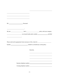| Please send me the appropriate forms necessary to file a claim for _________________________________ |            |  |
|------------------------------------------------------------------------------------------------------|------------|--|
|                                                                                                      |            |  |
|                                                                                                      |            |  |
|                                                                                                      | Sincerely, |  |
|                                                                                                      |            |  |
|                                                                                                      |            |  |
|                                                                                                      |            |  |
| Daytime telephone number:<br><u>Daytime</u> telephone number:                                        |            |  |
|                                                                                                      |            |  |
|                                                                                                      |            |  |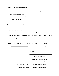# *Template 2 – To Life Insurance Company*

 $\qquad \qquad \text{(date)}$ 

(life insurance company name)

(street address or p.o. box number)

(city, state, zip code)

RE: (full name of deceased), Deceased.

(life insurance company name) :

My late (relationship) had a (type of policy) policy with your company. (full name of deceased) was insured under policy number (policy number) and died (month/day/year) .

Please send me the appropriate forms necessary to file a claim for (type of benefits) benefits (I am/or name of person is) entitled to as beneficiary on that policy.

Sincerely,

(signature)

(typed or printed name)

(street address or p.o. box number)

(city, state, zip code)

Daytime telephone number: (daytime telephone number)

Evening telephone number: (evening telephone number)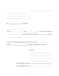| <u> 1989 - Johann Stein, marwolaethau a bhann an t-Amhainn an t-Amhainn an t-Amhainn an t-Amhainn an t-Amhainn an</u> |            |  |
|-----------------------------------------------------------------------------------------------------------------------|------------|--|
|                                                                                                                       |            |  |
|                                                                                                                       |            |  |
|                                                                                                                       |            |  |
|                                                                                                                       |            |  |
|                                                                                                                       |            |  |
|                                                                                                                       |            |  |
|                                                                                                                       |            |  |
|                                                                                                                       |            |  |
|                                                                                                                       |            |  |
|                                                                                                                       |            |  |
|                                                                                                                       |            |  |
|                                                                                                                       | Sincerely, |  |
|                                                                                                                       |            |  |
|                                                                                                                       |            |  |
|                                                                                                                       |            |  |
| Daytime telephone number:<br><u>Daytime</u> telephone number:                                                         |            |  |
| Evening telephone number:                                                                                             |            |  |
|                                                                                                                       |            |  |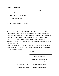#### *Template 3 – To Employer*

 $\qquad \qquad \text{(date)}$ 

(employer name)

(street address or p.o. box number)

(city, state, zip code)

RE: (full name of deceased), Deceased.

(employer name) :

My (relationship), an employee of your company, died on (date). Would you please review your personnel files and other records to determine what benefits might be payable to (his or her) estate or beneficiary? Among other things, such benefits might include: group life insurance, hospitalization and major medical insurance, disability income insurance, pension or profit-sharing plan, workmen's compensation, deferred compensation arrangement, accrued vacation or sick pay, payroll savings or stock-purchase plan, credit union balance, etc.

I am writing you on behalf of (full name of deceased) as beneficiary. If there are any forms to be completed in filing for these benefits, or if you need any documents or additional information, please let me know.

Sincerely,

|                           | (signature)                         |  |
|---------------------------|-------------------------------------|--|
|                           | (typed or printed name)             |  |
|                           | (street address or p.o. box number) |  |
|                           | (city, state, zip code)             |  |
| Daytime telephone number: | (daytime telephone number)          |  |
| Evening telephone number: | (evening telephone number)          |  |
|                           |                                     |  |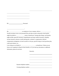RE: , Deceased.

 $\overline{a}$ 

l

 $\overline{a}$ 

<u>: Andrew Marian Maria (1995), providence</u> My \_\_\_\_\_\_\_\_\_\_\_\_\_\_\_\_\_\_\_, an employee of your company, died on \_\_\_\_\_\_\_\_\_\_\_\_\_. Would you please review your personnel files and other records to determine what benefits might be payable to \_\_\_\_\_\_\_\_\_\_\_\_\_\_\_ estate or beneficiary? Among other things, such benefits might include: group life insurance, hospitalization and major medical insurance, disability income insurance, pension or profit-sharing plan, workmen's compensation, deferred compensation arrangement, accrued vacation or sick pay, payroll savings or stock-purchase plan, credit union balance, etc. I am writing you on behalf of as beneficiary. If there are any forms to be completed in filing for these benefits, or if you need any documents or additional information, please let me know.

Sincerely,

Daytime telephone number:

Evening telephone number: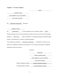### *Template 4 – To Former Employer*

 $\qquad \qquad \text{(date)}$ 

(employer name)

(street address or p.o. box number)

(city, state, zip code)

RE: (full name of deceased), Deceased.

(employer name) :

My (relationship), a former employee of your company, died on (date). Would you please review your personnel files and other records to see if there are any benefits payable to (his or her) estate or beneficiary? Among other things, such benefits might include a vested interest in a pension or profit-sharing plan. I am writing you on behalf of (full name of deceased) as beneficiary. If there are any

forms to be completed in filing for these benefits, or if you need any documents or additional

information, please let me know.

Sincerely,

 (signature) (typed or printed name) (street address or p.o. box number) (city, state, zip code) Daytime telephone number: (daytime telephone number) Evening telephone number: (evening telephone number)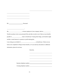$\overline{a}$ <u> 1980 - Johann Barn, mars ann an t-Amhain Aonaichte ann an t-Aonaichte ann an t-Aonaichte ann an t-Aonaichte a</u> RE: , Deceased. : My \_\_\_\_\_\_\_\_\_\_\_\_\_\_\_\_\_\_\_\_, a former employee of your company, died on \_\_\_\_\_\_\_\_\_\_\_. Would you please review your personnel files and other records to see if there are any benefits payable to **external contract external estate or beneficiary?** Among other things, such benefits might include a vested interest in a pension or profit-sharing plan. I am writing you on behalf of as beneficiary. If there are any forms to be completed in filing for these benefits, or if you need any documents or additional information, please let me know.

 $\overline{a}$ 

l

Sincerely,

Daytime telephone number:

Evening telephone number: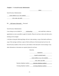#### *Template 5 – To Social Security Administration*

 $\qquad \qquad \text{(date)}$ 

Social Security Administration

(street address or p.o. box number)

(city, state, zip code)

RE: (full name of deceased), Deceased.

Social Security Administration:

I am writing to you on behalf of \_\_\_\_\_\_ (relationship) and would like to obtain an appointment as soon as possible to apply for benefits. Please let me know where and when such a meeting can be arranged.

I will plan to bring the following things with me to that meeting: a copy of the death certificate; a copy of the marriage certificate; copies of birth certificates of the deceased and survivors; the Social Security numbers of the survivors; and evidence of the deceased's recent earnings. If any other information or documents are required, please let me know.

Sincerely,

|                           | (signature)                         |  |
|---------------------------|-------------------------------------|--|
|                           | (typed or printed name)             |  |
|                           | (street address or p.o. box number) |  |
|                           | (city, state, zip code)             |  |
| Daytime telephone number: | (daytime telephone number)          |  |
| Evening telephone number: | (evening telephone number)          |  |
|                           |                                     |  |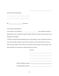Social Security Administration

 $\overline{a}$ 

 $\overline{a}$ 

RE: , Deceased.

Social Security Administration:

I am writing to you on behalf of and would like to obtain an appointment as soon as possible to apply for benefits. Please let me know where and when such a meeting can be arranged.

I will plan to bring the following things with me to that meeting: a copy of the death certificate; a copy of the marriage certificate; copies of birth certificates of the deceased and survivors; the Social Security numbers of the survivors; and evidence of the deceased's recent earnings. If any other information or documents are required, please let me know.

Sincerely,

Daytime telephone number:

Evening telephone number: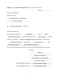*Template 6 – To Veterans' Administration (for government life insurance)*

 $\qquad \qquad \text{(date)}$ Veterans' Administration Insurance Division (street address or p.o. box number) (city, state, zip code) RE: (full name of deceased), Deceased. Veterans' Administration: This is to inform you that my (relationship) died on (date). (full name of deceased) was insured under Policy No. (policy number) and I am writing you on behalf of (myself; my relationship, his or her full name) as beneficiary. (full name of deceased) served in the (branch or service) from (date entered service) to (date discharged from service). Please send me the proper forms necessary to apply for the benefits payable under that policy. Sincerely, (signature) (typed or printed name) (street address or p.o. box number) (city, state, zip code) Daytime telephone number: (daytime telephone number) Evening telephone number: (evening telephone number)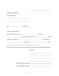| Veterans' Administration                                                                                                                                                                                                       |            |                                                               |  |
|--------------------------------------------------------------------------------------------------------------------------------------------------------------------------------------------------------------------------------|------------|---------------------------------------------------------------|--|
| <b>Insurance Division</b>                                                                                                                                                                                                      |            |                                                               |  |
| <u> 1989 - Andrea Branden, amerikansk politiker (d. 1989)</u><br><u> 1980 - Johann Barn, mars an t-Amerikaansk politiker (* 1908)</u>                                                                                          |            |                                                               |  |
|                                                                                                                                                                                                                                |            |                                                               |  |
|                                                                                                                                                                                                                                |            |                                                               |  |
| Veterans' Administration:                                                                                                                                                                                                      |            |                                                               |  |
|                                                                                                                                                                                                                                |            |                                                               |  |
|                                                                                                                                                                                                                                |            |                                                               |  |
|                                                                                                                                                                                                                                |            |                                                               |  |
| served in the served in the served in the served in the served in the served in the served in the served in the served in the served in the served in the served in the served in the served in the served in the served in th |            |                                                               |  |
| $\frac{1}{2}$ to $\frac{1}{2}$ to $\frac{1}{2}$ .                                                                                                                                                                              |            |                                                               |  |
| Please send me the proper forms necessary to apply for the benefits payable under that policy.                                                                                                                                 |            |                                                               |  |
|                                                                                                                                                                                                                                | Sincerely, |                                                               |  |
|                                                                                                                                                                                                                                |            |                                                               |  |
|                                                                                                                                                                                                                                |            |                                                               |  |
|                                                                                                                                                                                                                                |            |                                                               |  |
|                                                                                                                                                                                                                                |            |                                                               |  |
|                                                                                                                                                                                                                                |            | Daytime telephone number:<br><u>Daytime</u> telephone number: |  |
|                                                                                                                                                                                                                                |            | Evening telephone number:                                     |  |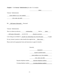# *Template 7 – To Veterans' Administration (for other V.A. benefits)*

|                                                                                               |            | (date)      |  |
|-----------------------------------------------------------------------------------------------|------------|-------------|--|
| Veterans' Administration                                                                      |            |             |  |
| (street address or p.o. box number)                                                           |            |             |  |
| (city, state, zip code)                                                                       |            |             |  |
| RE: (full name of deceased), Deceased.                                                        |            |             |  |
| Veterans' Administration:                                                                     |            |             |  |
|                                                                                               |            |             |  |
| (full name of deceased) served in the (branch or service)                                     |            |             |  |
| I am writing you on behalf of <u>(myself; my relationship, his or her full name)</u> to apply |            |             |  |
| For any veterans' pension or other benefits that might be due <i>(him or her)</i> .           |            |             |  |
| Please send me the appropriate forms and instructions to apply for benefits.                  |            |             |  |
|                                                                                               |            |             |  |
|                                                                                               | Sincerely, |             |  |
|                                                                                               |            | (signature) |  |

(typed or printed name)

(street address or p.o. box number)

(city, state, zip code)

Daytime telephone number: (daytime telephone number)

Evening telephone number: (evening telephone number)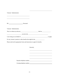Veterans' Administration

| RE: <u>Necessed.</u> Peceased.                                               |                                                                               |  |
|------------------------------------------------------------------------------|-------------------------------------------------------------------------------|--|
|                                                                              |                                                                               |  |
|                                                                              |                                                                               |  |
| Veterans' Administration:                                                    |                                                                               |  |
|                                                                              |                                                                               |  |
|                                                                              | $S$ and $S$ are served in the $\frac{1}{1-\frac{1}{2}}$ .                     |  |
|                                                                              |                                                                               |  |
|                                                                              |                                                                               |  |
|                                                                              | For any veterans' pension or other benefits that might be due ______________. |  |
| Please send me the appropriate forms and instructions to apply for benefits. |                                                                               |  |
|                                                                              |                                                                               |  |
|                                                                              |                                                                               |  |
|                                                                              | Sincerely,                                                                    |  |
|                                                                              |                                                                               |  |
|                                                                              |                                                                               |  |
|                                                                              |                                                                               |  |
|                                                                              |                                                                               |  |
|                                                                              |                                                                               |  |
|                                                                              |                                                                               |  |
|                                                                              | Daytime telephone number:                                                     |  |
|                                                                              |                                                                               |  |
|                                                                              |                                                                               |  |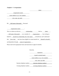## *Template 8 – To Organization*

 $\qquad \qquad \text{(date)}$ 

(organization name)

(street address or p.o. box number)

(city, state, zip code)

RE: (full name of deceased), Deceased.

(organization name) :

This is to inform you that my \_\_\_\_\_\_\_\_ (relationship) died on \_\_\_\_\_ (date) \_\_\_\_. (full name of deceased) was a member of (organization) . I am writing on behalf of <u>(myself; my relationship, his or her name)</u> as beneficiary and I understand that (he or she) may have been eligible for certain benefits for (himself or herself) and dependents through (name of organization).

Please send me the appropriate forms and instructions to apply for benefits.

Sincerely,

 (signature) (typed or printed name) (street address or p.o. box number) (city, state, zip code) Daytime telephone number: (daytime telephone number) Evening telephone number: (evening telephone number)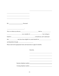| and dependents through ____________________________.                         |            |                                                               |
|------------------------------------------------------------------------------|------------|---------------------------------------------------------------|
| Please send me the appropriate forms and instructions to apply for benefits. |            |                                                               |
|                                                                              |            |                                                               |
|                                                                              |            |                                                               |
|                                                                              | Sincerely, |                                                               |
|                                                                              |            |                                                               |
|                                                                              |            |                                                               |
|                                                                              |            |                                                               |
|                                                                              |            |                                                               |
|                                                                              |            |                                                               |
|                                                                              |            |                                                               |
|                                                                              |            |                                                               |
|                                                                              |            | Daytime telephone number:<br><u>Daytime</u> telephone number: |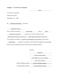$\qquad \qquad \text{(date)}$ 

Civil Service Commission

1900 East Street NW

Washington, D.C. 20415

RE: (full name of deceased), Deceased.

(organization name) :

This is to inform you that my (relationship) died on (date) .

(full name of deceased) worked as a Civil Service employee from

(date started working for civil service) to (date stopped working for civil service) .

I am writing you on behalf of (myself; my relationship, his or her name) the deceased's

(relationship), to apply for any pension or other benefits that might be due (he or she).

Please send me the appropriate forms and instructions to apply for benefits.

Sincerely,

 (signature) (typed or printed name) (street address or p.o. box number) (city, state, zip code) Daytime telephone number: (daytime telephone number) Evening telephone number: (evening telephone number)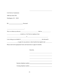1900 East Street NW

Washington, D.C. 20415

| RE: | Deceased. |
|-----|-----------|
|     |           |

:

| This is to inform you that my | died on |
|-------------------------------|---------|
|                               |         |

# **EXECUTE:** Worked as a Civil Service employee from

| I am writing you on behalf of | the deceased's |
|-------------------------------|----------------|
|-------------------------------|----------------|

, to apply for any pension or other benefits that might be due \_\_\_\_\_\_\_\_.

Please send me the appropriate forms and instructions to apply for benefits.

Sincerely,

Daytime telephone number:<br>
<u>Daytime</u> telephone number:

Evening telephone number: